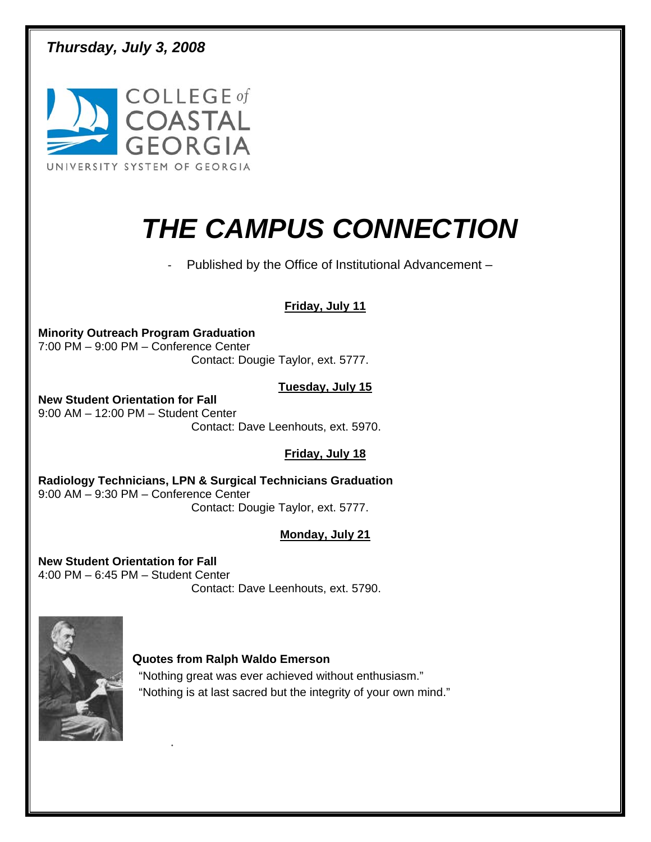*Thursday, July 3, 2008* 



# *THE CAMPUS CONNECTION*

- Published by the Office of Institutional Advancement –

### **Friday, July 11**

**Minority Outreach Program Graduation**  7:00 PM – 9:00 PM – Conference Center Contact: Dougie Taylor, ext. 5777.

#### **Tuesday, July 15**

**New Student Orientation for Fall**  9:00 AM – 12:00 PM – Student Center Contact: Dave Leenhouts, ext. 5970.

### **Friday, July 18**

**Radiology Technicians, LPN & Surgical Technicians Graduation**  9:00 AM – 9:30 PM – Conference Center Contact: Dougie Taylor, ext. 5777.

### **Monday, July 21**

**New Student Orientation for Fall**  4:00 PM – 6:45 PM – Student Center Contact: Dave Leenhouts, ext. 5790.

.



#### **Quotes from Ralph Waldo Emerson**

"Nothing great was ever achieved without enthusiasm." "Nothing is at last sacred but the integrity of your own mind."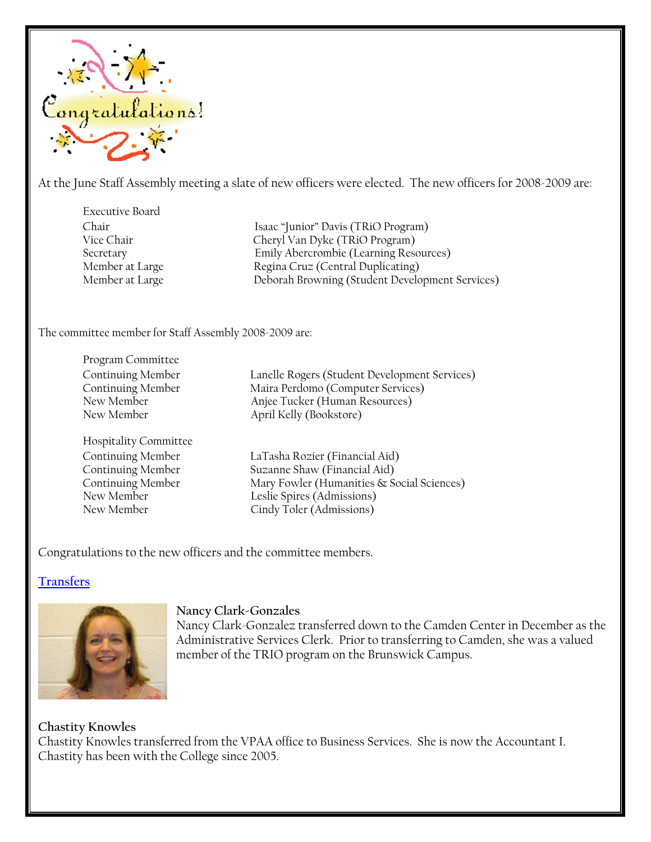

At the June Staff Assembly meeting a slate of new officers were elected. The new officers for 2008-2009 are:

Executive Board

Chair Isaac "Junior" Davis (TRiO Program) Vice Chair Cheryl Van Dyke (TRiO Program) Secretary Emily Abercrombie (Learning Resources) Member at Large Regina Cruz (Central Duplicating) Member at Large Deborah Browning (Student Development Services)

The committee member for Staff Assembly 2008-2009 are:

Program Committee

Hospitality Committee

Continuing Member Lanelle Rogers (Student Development Services) Maira Perdomo (Computer Services) New Member **Anjee Tucker (Human Resources)** New Member April Kelly (Bookstore)

Continuing Member LaTasha Rozier (Financial Aid) Continuing Member Suzanne Shaw (Financial Aid) Continuing Member Mary Fowler (Humanities & Social Sciences) New Member Leslie Spires (Admissions) New Member Cindy Toler (Admissions)

Congratulations to the new officers and the committee members.

### **Transfers**



#### **Nancy Clark-Gonzales**

Nancy Clark-Gonzalez transferred down to the Camden Center in December as the Administrative Services Clerk. Prior to transferring to Camden, she was a valued member of the TRIO program on the Brunswick Campus.

#### **Chastity Knowles**

Chastity Knowles transferred from the VPAA office to Business Services. She is now the Accountant I. Chastity has been with the College since 2005.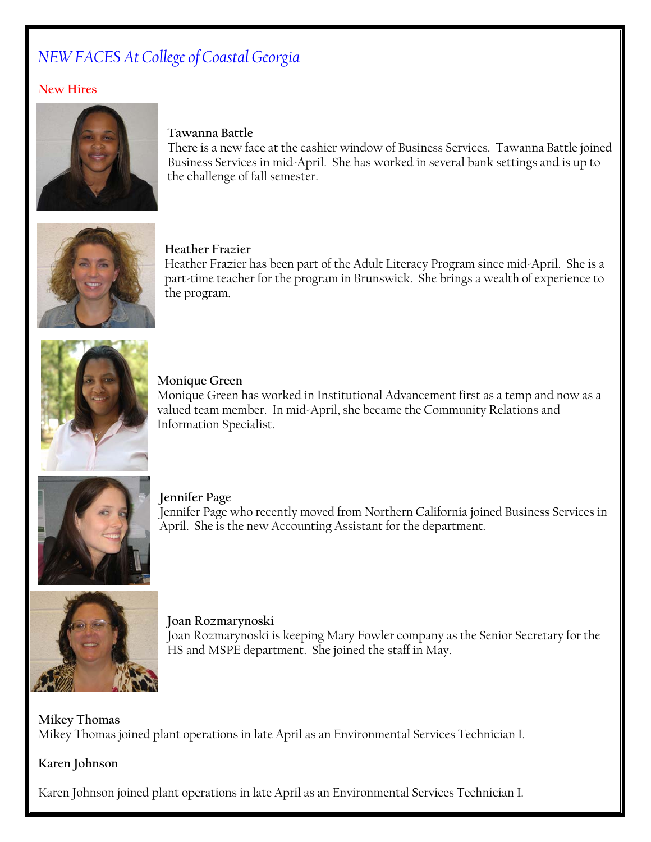## *NEW FACES At College of Coastal Georgia*

### **New Hires**



#### **Tawanna Battle**

There is a new face at the cashier window of Business Services. Tawanna Battle joined Business Services in mid-April. She has worked in several bank settings and is up to the challenge of fall semester.



#### **Heather Frazier**

Heather Frazier has been part of the Adult Literacy Program since mid-April. She is a part-time teacher for the program in Brunswick. She brings a wealth of experience to the program.



**Monique Green**

Monique Green has worked in Institutional Advancement first as a temp and now as a valued team member. In mid-April, she became the Community Relations and Information Specialist.



**Jennifer Page**  Jennifer Page who recently moved from Northern California joined Business Services in April. She is the new Accounting Assistant for the department.



**Joan Rozmarynoski**  Joan Rozmarynoski is keeping Mary Fowler company as the Senior Secretary for the HS and MSPE department. She joined the staff in May.

## **Mikey Thomas** Mikey Thomas joined plant operations in late April as an Environmental Services Technician I.

#### **Karen Johnson**

Karen Johnson joined plant operations in late April as an Environmental Services Technician I.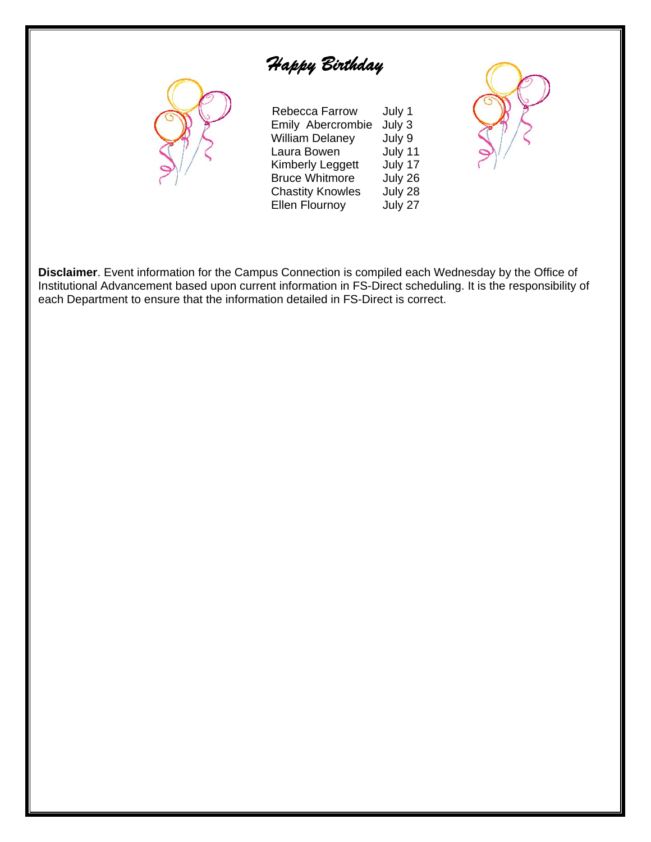# *Happy Birthday*



| Rebecca Farrow<br>Emily Abercrombie<br><b>William Delaney</b><br>Laura Bowen<br><b>Kimberly Leggett</b> | July 1<br>July 3<br>July 9<br>July 11<br>July 17 |
|---------------------------------------------------------------------------------------------------------|--------------------------------------------------|
| <b>Bruce Whitmore</b><br><b>Chastity Knowles</b><br><b>Ellen Flournoy</b>                               | July 26<br>July 28<br>July 27                    |



**Disclaimer**. Event information for the Campus Connection is compiled each Wednesday by the Office of Institutional Advancement based upon current information in FS-Direct scheduling. It is the responsibility of each Department to ensure that the information detailed in FS-Direct is correct.